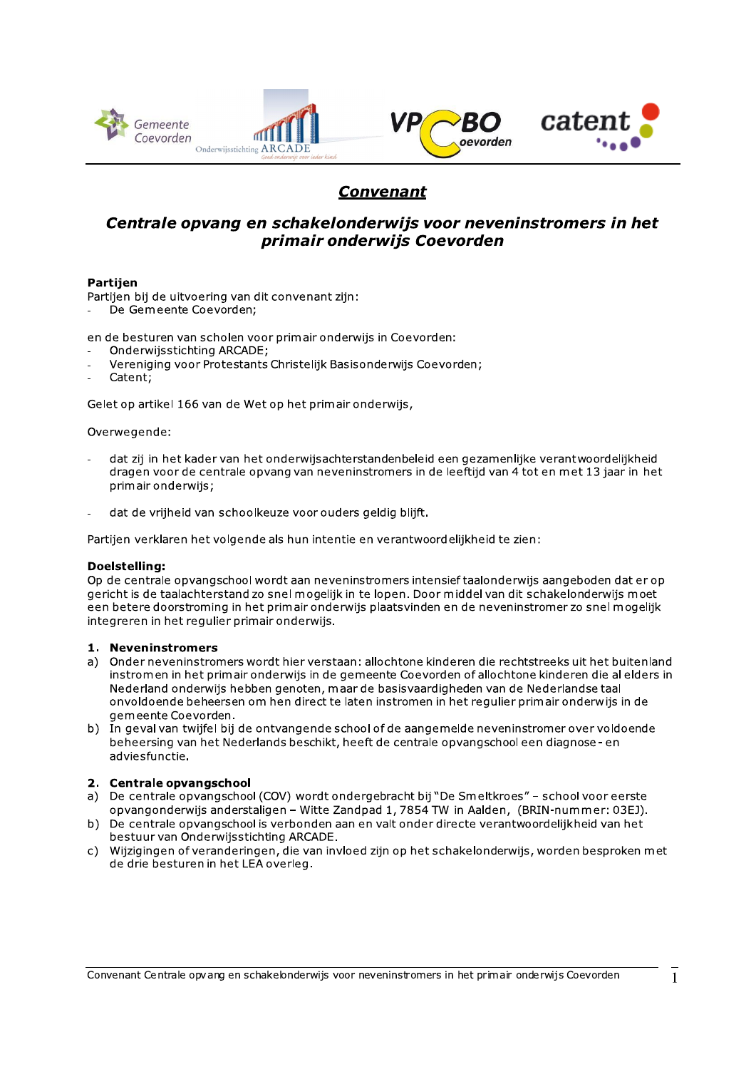

# **Convenant**

# Centrale opvang en schakelonderwijs voor neveninstromers in het primair onderwijs Coevorden

#### **Partiien**

Partijen bij de uitvoering van dit convenant zijn:

De Gemeente Coevorden;

en de besturen van scholen voor primair onderwijs in Coevorden:

- Onderwijsstichting ARCADE;
- Vereniging voor Protestants Christelijk Basisonderwijs Coevorden;
- Catent:

Gelet op artikel 166 van de Wet op het primair onderwijs,

#### Overwegende:

- dat zij in het kader van het onderwijsachterstandenbeleid een gezamenlijke verantwoordelijkheid dragen voor de centrale opvang van neveninstromers in de leeftijd van 4 tot en met 13 jaar in het primair onderwijs;
- dat de vrijheid van schoolkeuze voor ouders geldig blijft.

Partijen verklaren het volgende als hun intentie en verantwoordelijkheid te zien:

#### Doelstelling:

Op de centrale opvangschool wordt aan neveninstromers intensief taalonderwijs aangeboden dat er op gericht is de taalachterstand zo snel mogelijk in te lopen. Door middel van dit schakelonderwijs moet een betere doorstroming in het primair onderwijs plaatsvinden en de neveninstromer zo snel mogelijk integreren in het regulier primair onderwijs.

#### 1. Neveninstromers

- a) Onder neveninstromers wordt hier verstaan: allochtone kinderen die rechtstreeks uit het buitenland instromen in het primair onderwijs in de gemeente Coevorden of allochtone kinderen die al elders in Nederland onderwijs hebben genoten, maar de basisvaardigheden van de Nederlandse taal onvoldoende beheersen om hen direct te laten instromen in het regulier primair onderwijs in de gemeente Coevorden.
- b) In geval van twijfel bij de ontvangende school of de aangemelde neveninstromer over voldoende beheersing van het Nederlands beschikt, heeft de centrale opvangschool een diagnose- en adviesfunctie.

#### 2. Centrale opvangschool

- a) De centrale opvangschool (COV) wordt ondergebracht bij "De Smeltkroes" school voor eerste opvangonderwijs anderstaligen - Witte Zandpad 1, 7854 TW in Aalden, (BRIN-nummer: 03EJ).
- b) De centrale opvangschool is verbonden aan en valt onder directe verantwoordelijkheid van het bestuur van Onderwijsstichting ARCADE.
- c) Wijzigingen of veranderingen, die van invloed zijn op het schakelonderwijs, worden besproken met de drie besturen in het LEA overleg.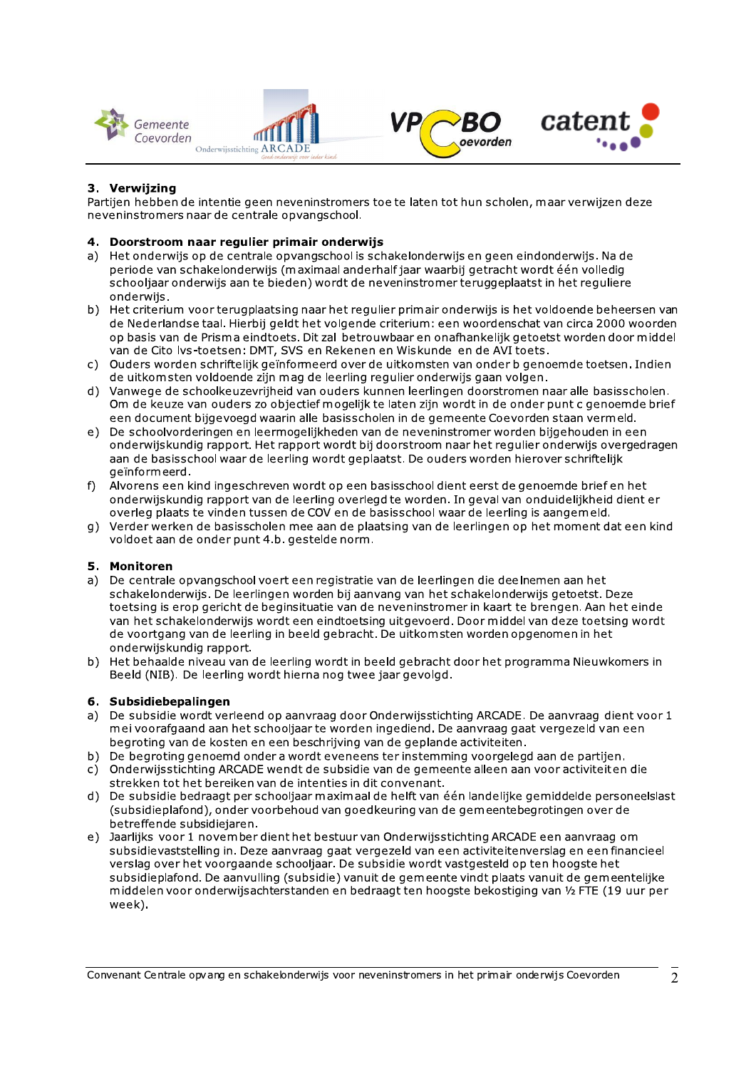





# 3. Verwijzing

Partijen hebben de intentie geen neveninstromers toe te laten tot hun scholen, maar verwijzen deze neveninstromers naar de centrale opvangschool.

### 4. Doorstroom naar regulier primair onderwijs

- a) Het onderwijs op de centrale opvangschool is schakelonderwijs en geen eindonderwijs. Na de periode van schakelonderwijs (maximaal anderhalf jaar waarbij getracht wordt één volledig schooljaar onderwijs aan te bieden) wordt de neveninstromer teruggeplaatst in het reguliere onderwijs.
- b) Het criterium voor terugplaatsing naar het regulier primair onderwijs is het voldoende beheersen van de Nederlandse taal. Hierbij geldt het volgende criterium: een woordenschat van circa 2000 woorden op basis van de Prisma eindtoets. Dit zal betrouwbaar en onafhankelijk getoetst worden door middel van de Cito Ivs-toetsen: DMT, SVS en Rekenen en Wiskunde en de AVI toets.
- c) Ouders worden schriftelijk geïnformeerd over de uitkomsten van onder bigenoemde toetsen. Indien de uitkomsten voldoende zijn mag de leerling regulier onderwijs gaan volgen.
- d) Vanwege de schoolkeuzevrijheid van ouders kunnen leerlingen doorstromen naar alle basisscholen. Om de keuze van ouders zo objectief mogelijk te laten zijn wordt in de onder punt c genoemde brief een document bijgevoegd waarin alle basisscholen in de gemeente Coevorden staan vermeld.
- e) De schoolvorderingen en leermogelijkheden van de neveninstromer worden bijgehouden in een onderwijskundig rapport. Het rapport wordt bij doorstroom naar het regulier onderwijs overgedragen aan de basisschool waar de leerling wordt geplaatst. De ouders worden hierover schriftelijk geïnformeerd.
- f) Alvorens een kind ingeschreven wordt op een basisschool dient eerst de genoemde brief en het onderwijskundig rapport van de leerling overlegd te worden. In geval van onduidelijkheid dient er overleg plaats te vinden tussen de COV en de basisschool waar de leerling is aangemeld.
- g) Verder werken de basisscholen mee aan de plaatsing van de leerlingen op het moment dat een kind voldoet aan de onder punt 4.b. gestelde norm.

# 5. Monitoren

- a) De centrale opvangschool voert een registratie van de leerlingen die deelnemen aan het schakelonderwijs. De leerlingen worden bij aanvang van het schakelonderwijs getoetst. Deze toetsing is erop gericht de beginsituatie van de neveninstromer in kaart te brengen. Aan het einde van het schakelonderwijs wordt een eindtoetsing uitgevoerd. Door middel van deze toetsing wordt de voortgang van de leerling in beeld gebracht. De uitkomsten worden opgenomen in het onderwijskundig rapport.
- b) Het behaalde niveau van de leerling wordt in beeld gebracht door het programma Nieuwkomers in Beeld (NIB). De leerling wordt hierna nog twee jaar gevolgd.

#### 6. Subsidiebepalingen

- a) De subsidie wordt verleend op aanvraag door Onderwijsstichting ARCADE. De aanvraag dient voor 1 mei voorafgaand aan het schooljaar te worden ingediend. De aanvraag gaat vergezeld van een begroting van de kosten en een beschrijving van de geplande activiteiten.
- b) De begroting genoemd onder a wordt eveneens ter instemming voorgelegd aan de partijen.
- c) Onderwijsstichting ARCADE wendt de subsidie van de gemeente alleen aan voor activiteiten die strekken tot het bereiken van de intenties in dit convenant.
- d) De subsidie bedraagt per schooljaar maximaal de helft van één landelijke gemiddelde personeelslast (subsidieplafond), onder voorbehoud van goedkeuring van de gemeentebegrotingen over de betreffende subsidiejaren.
- e) Jaarlijks voor 1 november dient het bestuur van Onderwijsstichting ARCADE een aanvraag om subsidievaststelling in. Deze aanvraag gaat vergezeld van een activiteitenverslag en een financieel verslag over het voorgaande schooljaar. De subsidie wordt vastgesteld op ten hoogste het subsidieplafond. De aanvulling (subsidie) vanuit de gemeente vindt plaats vanuit de gemeentelijke middelen voor onderwijsachterstanden en bedraagt ten hoogste bekostiging van 1/2 FTE (19 uur per week).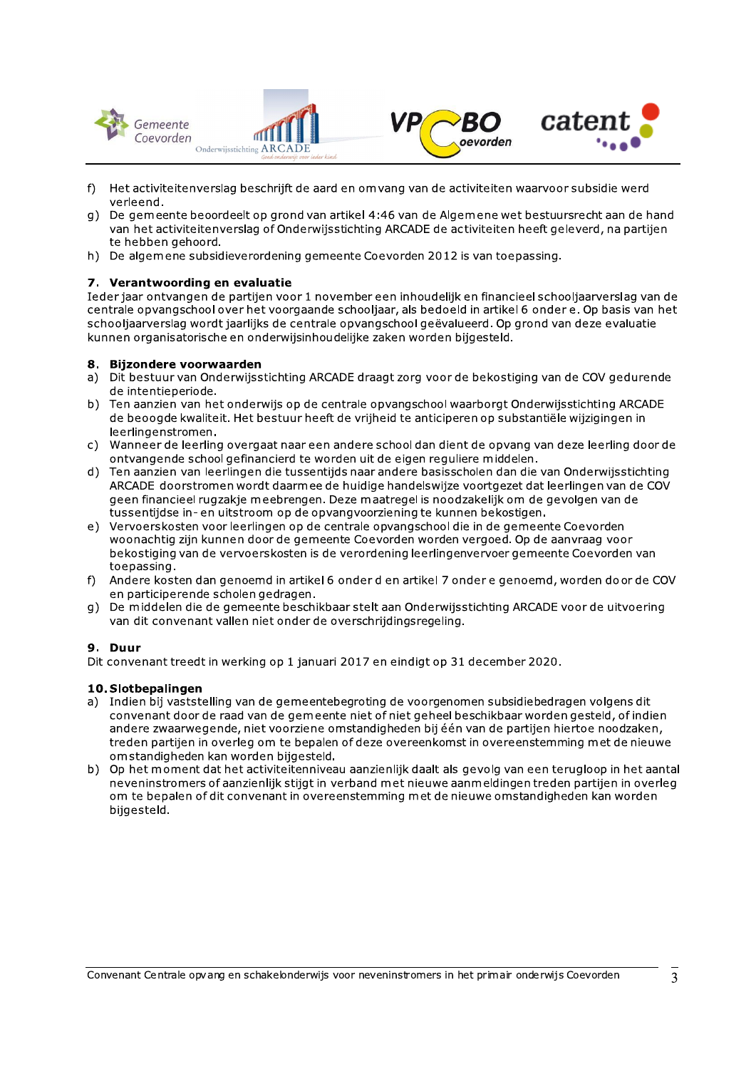



- f) Het activiteitenverslag beschrijft de aard en om vang van de activiteiten waarvoor subsidie werd verleend.
- g) De gemeente beoordeelt op grond van artikel 4:46 van de Algemene wet bestuursrecht aan de hand van het activiteitenverslag of Onderwijsstichting ARCADE de activiteiten heeft geleverd, na partijen te hebben gehoord.
- h) De algemene subsidieverordening gemeente Coevorden 2012 is van toepassing.

# 7. Verantwoording en evaluatie

Ieder jaar ontvangen de partijen voor 1 november een inhoudelijk en financieel schooljaarverslag van de centrale opvangschool over het voorgaande schooljaar, als bedoeld in artikel 6 onder e. Op basis van het schooljaarverslag wordt jaarlijks de centrale opvangschool geëvalueerd. Op grond van deze evaluatie kunnen organisatorische en onderwijsinhoudelijke zaken worden bijgesteld.

#### **Biizondere voorwaarden**  $\mathbf{R}$

- Dit bestuur van Onderwijsstichting ARCADE draagt zorg voor de bekostiging van de COV gedurende  $a)$ de intentieperiode.
- b) Ten aanzien van het onderwijs op de centrale opvangschool waarborgt Onderwijsstichting ARCADE de beoogde kwaliteit. Het bestuur heeft de vrijheid te anticiperen op substantiële wijzigingen in leerlingenstromen.
- c) Wanneer de leerling overgaat naar een andere school dan dient de opvang van deze leerling door de ontvangende school gefinancierd te worden uit de eigen reguliere middelen.
- d) Ten aanzien van leerlingen die tussentijds naar andere basisscholen dan die van Onderwijsstichting ARCADE doorstromen wordt daarmee de huidige handelswijze voortgezet dat leerlingen van de COV geen financieel rugzakie meebrengen. Deze maatregel is noodzakelijk om de gevolgen van de tussentijdse in- en uitstroom op de opvangvoorziening te kunnen bekostigen.
- e) Vervoerskosten voor leerlingen op de centrale opvangschool die in de gemeente Coevorden woonachtig zijn kunnen door de gemeente Coevorden worden vergoed. Op de aanvraag voor bekostiging van de vervoerskosten is de verordening leerlingenvervoer gemeente Coevorden van toepassing.
- f) Andere kosten dan genoemd in artikel 6 onder d en artikel 7 onder e genoemd, worden door de COV en participerende scholen gedragen.
- g) De middelen die de gemeente beschikbaar stelt aan Onderwijsstichting ARCADE voor de uitvoering van dit convenant vallen niet onder de overschrijdingsregeling.

# 9. Duur

Dit convenant treedt in werking op 1 januari 2017 en eindigt op 31 december 2020.

# 10. Slotbepalingen

- a) Indien bij vaststelling van de gemeentebegroting de voorgenomen subsidiebedragen volgens dit convenant door de raad van de gemeente niet of niet geheel beschikbaar worden gesteld, of indien andere zwaarwegende, niet voorziene omstandigheden bij één van de partijen hiertoe noodzaken, treden partijen in overleg om te bepalen of deze overeenkomst in overeenstemming met de nieuwe omstandigheden kan worden bijgesteld.
- b) Op het moment dat het activiteitenniveau aanzienlijk daalt als gevolg van een terugloop in het aantal neveninstromers of aanzienlijk stijgt in verband met nieuwe aanmeldingen treden partijen in overleg om te bepalen of dit convenant in overeenstemming met de nieuwe omstandigheden kan worden bijgesteld.